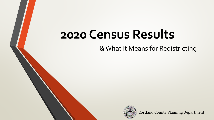# **2020 Census Results**

& What it Means for Redistricting



Cortland County Planning Department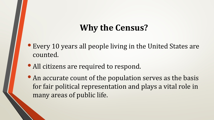## **Why the Census?**

- Every 10 years all people living in the United States are counted.
- All citizens are required to respond.
- An accurate count of the population serves as the basis for fair political representation and plays a vital role in many areas of public life.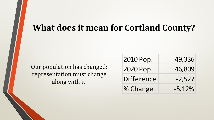#### **What does it mean for Cortland County?**

Our population has changed; representation must change along with it.

| 2010 Pop.  | 49,336   |
|------------|----------|
| 2020 Pop.  | 46,809   |
| Difference | $-2,527$ |
| % Change   | $-5.12%$ |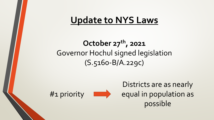# **Update to NYS Laws**

### **October 27th, 2021**  Governor Hochul signed legislation (S.5160-B/A.229c)



Districts are as nearly equal in population as possible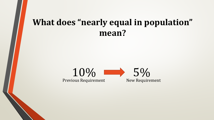### **What does "nearly equal in population" mean?**

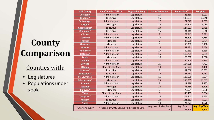# **County Comparison**

#### Counties with:

- Legislatures
- Populations under 200k

| <b>NYS County</b>   | <b>Chief Admin. Official</b>               | <b>Legislative Body</b> | <b>No. of Members</b>     | <b>Population**</b> | Pop/Rep                      |
|---------------------|--------------------------------------------|-------------------------|---------------------------|---------------------|------------------------------|
| <b>Allegany</b>     | Administrator                              | Legislature             | 15                        | 46,456              | 3,097                        |
| Broome <sup>*</sup> | Executive                                  | Legislature             | 15                        | 198,683             | 13,246                       |
| <b>Cattaraugus</b>  | Administrator                              | Legislature             | 17                        | 77,042              | 4,532                        |
| <b>Caygua</b>       | Manager                                    | Legislature             | 15                        | 76,248              | 5,083                        |
| Chautauqua*         | Executive                                  | Legislature             | 19                        | 127,657             | 6,719                        |
| Chemung*            | Executive                                  | Legislature             | 15                        | 84,148              | 5,610                        |
| <b>Clinton</b>      | Administrator                              | Legislature             | 9                         | 79,843              | 8,871                        |
| <b>Cortland</b>     | Administrator                              | Legislature             | 17                        | 46,809              | 2,753                        |
| <b>Franklin</b>     | Manager                                    | Legislature             | $\overline{7}$            | 47,555              | 6,794                        |
| <b>Genesee</b>      | Manager                                    | Legislature             | 9                         | 58,388              | 6,488                        |
| <b>Greene</b>       | Administrator                              | Legislature             | 14                        | 47,931              | 3,424                        |
| Herkimer*           | Administrator                              | Legislature             | 17                        | 60,139              | 3,538                        |
| <b>Jefferson</b>    | Administrator                              | Legislature             | 15                        | 116,721             | 7,781                        |
| <b>Lewis</b>        | Manager                                    | Legislature             | 10                        | 26,582              | 2,658                        |
| <b>Orleans</b>      | Administrator                              | Legislature             | $\overline{7}$            | 40,343              | 5,763                        |
| <b>Oswego</b>       | Administrator                              | Legislature             | 25                        | 117,525             | 4,701                        |
| <b>Otsego</b>       | Chair of Leg. Body                         | Legislature             | 14                        | 58,524              | 4,180                        |
| Putnam*             | Executive                                  | Legislature             | 9                         | 97,668              | 10,852                       |
| Rensselaer*         | Executive                                  | Legislature             | 19                        | 161,130             | 8,481                        |
| <b>St. Lawrence</b> | Administrator                              | Legislature             | 15                        | 108,505             | 7,234                        |
| Schenectady*        | Manager                                    | Legislature             | 15                        | 158,061             | 10,537                       |
| <b>Schuyler</b>     | Administrator                              | Legislature             | 8                         | 17,898              | 2,237                        |
| <b>Steuben</b>      | Manager                                    | Legislature             | 17                        | 93,584              | 5,505                        |
| Sullivan*           | Manager                                    | Legislature             | 9                         | 78,624              | 8,736                        |
| <b>Tioga</b>        | Chair of Leg. Body                         | Legislature             | 9                         | 48,455              | 5,384                        |
| Tompkins*           | Administrator                              | Legislature             | 14                        | 105,740             | 7,553                        |
| Ulster*             | Executive                                  | Legislature             | 23                        | 181,851             | 7,907                        |
| <b>Yates</b>        | Administrator                              | Legislature             | 14                        | 24,774              | 1,770                        |
| *Charter County     | **Based off 2020 Census Redistricting Data |                         | Avg. No. of Members<br>14 | Avg. Pop<br>85,246  | <b>Avg. Pop/Rep</b><br>6,123 |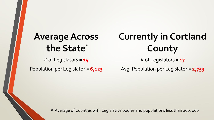# **Average Across the State** \*

# of Legislators = **14**

Population per Legislator = **6,123**

# **Currently in Cortland County**

# of Legislators = **17**

Avg. Population per Legislator = **2,753**

\* Average of Counties with Legislative bodies and populations less than 200, 000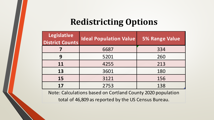## **Redistricting Options**

| <b>Legislative</b><br>District Counts | <b>Ideal Population Value</b> | <b>5% Range Value</b> |
|---------------------------------------|-------------------------------|-----------------------|
|                                       | 6687                          | 334                   |
| 9                                     | 5201                          | 260                   |
| 11                                    | 4255                          | 213                   |
| 13                                    | 3601                          | 180                   |
| 15                                    | 3121                          | 156                   |
| 17                                    | 2753                          | 138                   |

Note: Calculations based on Cortland County 2020 population total of 46,809 as reported by the US Census Bureau.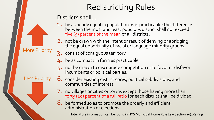# Redistricting Rules

Districts shall…

- 1. be as nearly equal in population as is practicable; the difference between the most and least populous district shall not exceed five (5) percent of the mean of all districts.
- 2. not be drawn with the intent or result of denying or abridging the equal opportunity of racial or language minority groups.
- 3. consist of contiguous territory.
- 4. be as compact in form as practicable.
- 5. not be drawn to discourage competition or to favor or disfavor incumbents or political parties.

Less Priority

More Priority

- 6. consider existing district cores, political subdivisions, and communities of interest.
- 7. no villages or cities or towns except those having more than forty (40) percent of a full ratio for each district shall be divided.
- 8. be formed so as to promote the orderly and efficient administration of elections

Note: More information can be found in NYS Municipal Home Rule Law Section 10(1)(a)(13)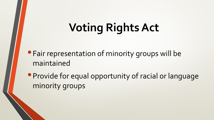# **Voting Rights Act**

- •Fair representation of minority groups will be maintained
- •Provide for equal opportunity of racial or language minority groups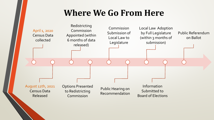### **Where We Go From Here**